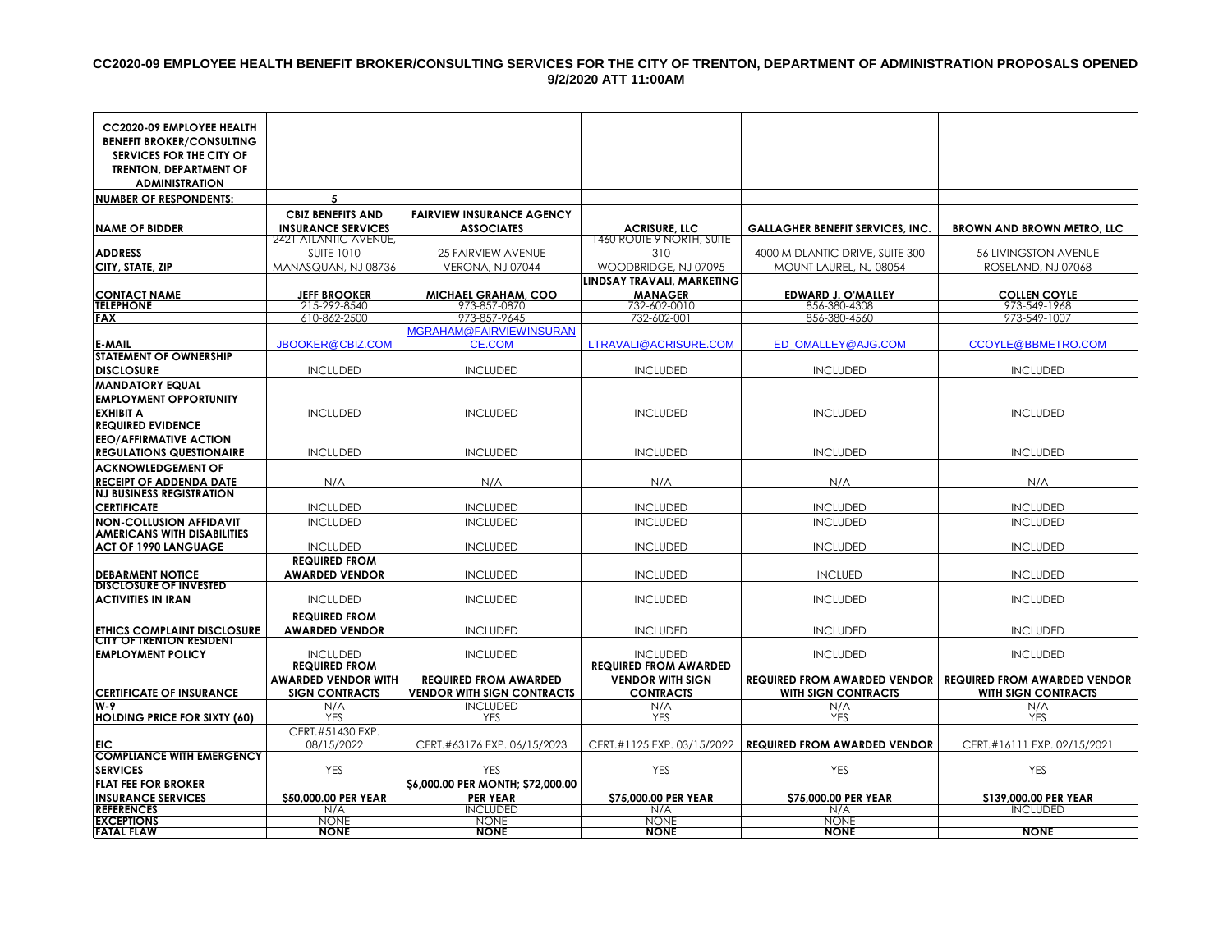#### **CC2020-09 EMPLOYEE HEALTH BENEFIT BROKER/CONSULTING SERVICES FOR THE CITY OF TRENTON, DEPARTMENT OF ADMINISTRATION PROPOSALS OPENED 9/2/2020 ATT 11:00AM**

| CC2020-09 EMPLOYEE HEALTH                                             |                              |                                   |                              |                                         |                                     |
|-----------------------------------------------------------------------|------------------------------|-----------------------------------|------------------------------|-----------------------------------------|-------------------------------------|
| <b>BENEFIT BROKER/CONSULTING</b>                                      |                              |                                   |                              |                                         |                                     |
| SERVICES FOR THE CITY OF<br><b>TRENTON, DEPARTMENT OF</b>             |                              |                                   |                              |                                         |                                     |
| <b>ADMINISTRATION</b>                                                 |                              |                                   |                              |                                         |                                     |
| <b>NUMBER OF RESPONDENTS:</b>                                         | 5                            |                                   |                              |                                         |                                     |
|                                                                       | <b>CBIZ BENEFITS AND</b>     | <b>FAIRVIEW INSURANCE AGENCY</b>  |                              |                                         |                                     |
| <b>NAME OF BIDDER</b>                                                 | <b>INSURANCE SERVICES</b>    | <b>ASSOCIATES</b>                 | <b>ACRISURE, LLC</b>         | <b>GALLAGHER BENEFIT SERVICES, INC.</b> | <b>BROWN AND BROWN METRO, LLC</b>   |
|                                                                       | 2421 ATLANTIC AVENUE,        |                                   | 1460 ROUTE 9 NORTH, SUITE    |                                         |                                     |
| <b>ADDRESS</b>                                                        | <b>SUITE 1010</b>            | 25 FAIRVIEW AVENUE                | 310                          | 4000 MIDLANTIC DRIVE, SUITE 300         | <b>56 LIVINGSTON AVENUE</b>         |
| CITY, STATE, ZIP                                                      | MANASQUAN, NJ 08736          | VERONA, NJ 07044                  | WOODBRIDGE, NJ 07095         | MOUNT LAUREL, NJ 08054                  | ROSELAND, NJ 07068                  |
|                                                                       |                              |                                   | LINDSAY TRAVALI, MARKETING   |                                         |                                     |
| <b>CONTACT NAME</b>                                                   | <b>JEFF BROOKER</b>          | <b>MICHAEL GRAHAM, COO</b>        | <b>MANAGER</b>               | EDWARD J. O'MALLEY                      | <b>COLLEN COYLE</b>                 |
| <b>TELEPHONE</b><br><b>FAX</b>                                        | 215-292-8540<br>610-862-2500 | 973-857-0870<br>973-857-9645      | 732-602-0010<br>732-602-001  | 856-380-4308<br>856-380-4560            | 973-549-1968<br>973-549-1007        |
|                                                                       |                              | <b>MGRAHAM@FAIRVIEWINSURAN</b>    |                              |                                         |                                     |
| <b>E-MAIL</b>                                                         | JBOOKER@CBIZ.COM             | <b>CE.COM</b>                     | LTRAVALI@ACRISURE.COM        | ED OMALLEY@AJG.COM                      | CCOYLE@BBMETRO.COM                  |
| <b>STATEMENT OF OWNERSHIP</b>                                         |                              |                                   |                              |                                         |                                     |
| <b>DISCLOSURE</b>                                                     | <b>INCLUDED</b>              | <b>INCLUDED</b>                   | <b>INCLUDED</b>              | <b>INCLUDED</b>                         | <b>INCLUDED</b>                     |
| <b>MANDATORY EQUAL</b>                                                |                              |                                   |                              |                                         |                                     |
| <b>EMPLOYMENT OPPORTUNITY</b>                                         |                              |                                   |                              |                                         |                                     |
| <b>EXHIBIT A</b>                                                      | <b>INCLUDED</b>              | <b>INCLUDED</b>                   | <b>INCLUDED</b>              | <b>INCLUDED</b>                         | <b>INCLUDED</b>                     |
| <b>REQUIRED EVIDENCE</b>                                              |                              |                                   |                              |                                         |                                     |
| <b>EEO/AFFIRMATIVE ACTION</b>                                         |                              |                                   |                              |                                         |                                     |
| <b>REGULATIONS QUESTIONAIRE</b>                                       | <b>INCLUDED</b>              | <b>INCLUDED</b>                   | <b>INCLUDED</b>              | <b>INCLUDED</b>                         | <b>INCLUDED</b>                     |
| <b>ACKNOWLEDGEMENT OF</b>                                             |                              |                                   |                              |                                         |                                     |
| <b>RECEIPT OF ADDENDA DATE</b>                                        | N/A                          | N/A                               | N/A                          | N/A                                     | N/A                                 |
| <b>NJ BUSINESS REGISTRATION</b>                                       |                              |                                   |                              |                                         |                                     |
| <b>CERTIFICATE</b>                                                    | <b>INCLUDED</b>              | <b>INCLUDED</b>                   | <b>INCLUDED</b>              | <b>INCLUDED</b>                         | <b>INCLUDED</b>                     |
| <b>NON-COLLUSION AFFIDAVIT</b><br><b>AMERICANS WITH DISABILITIES</b>  | <b>INCLUDED</b>              | <b>INCLUDED</b>                   | <b>INCLUDED</b>              | <b>INCLUDED</b>                         | <b>INCLUDED</b>                     |
| <b>ACT OF 1990 LANGUAGE</b>                                           | <b>INCLUDED</b>              | <b>INCLUDED</b>                   | <b>INCLUDED</b>              | <b>INCLUDED</b>                         | <b>INCLUDED</b>                     |
|                                                                       | <b>REQUIRED FROM</b>         |                                   |                              |                                         |                                     |
| <b>DEBARMENT NOTICE</b>                                               | <b>AWARDED VENDOR</b>        | <b>INCLUDED</b>                   | <b>INCLUDED</b>              | <b>INCLUED</b>                          | <b>INCLUDED</b>                     |
| <b>DISCLOSURE OF INVESTED</b><br><b>ACTIVITIES IN IRAN</b>            | <b>INCLUDED</b>              | <b>INCLUDED</b>                   | <b>INCLUDED</b>              | <b>INCLUDED</b>                         | <b>INCLUDED</b>                     |
|                                                                       |                              |                                   |                              |                                         |                                     |
|                                                                       | <b>REQUIRED FROM</b>         |                                   |                              |                                         |                                     |
| <b>ETHICS COMPLAINT DISCLOSURE</b><br><b>CITY OF TRENTON RESIDENT</b> | AWARDED VENDOR               | <b>INCLUDED</b>                   | <b>INCLUDED</b>              | <b>INCLUDED</b>                         | <b>INCLUDED</b>                     |
| <b>EMPLOYMENT POLICY</b>                                              | <b>INCLUDED</b>              | <b>INCLUDED</b>                   | <b>INCLUDED</b>              | <b>INCLUDED</b>                         | <b>INCLUDED</b>                     |
|                                                                       | <b>REQUIRED FROM</b>         |                                   | <b>REQUIRED FROM AWARDED</b> |                                         |                                     |
|                                                                       | AWARDED VENDOR WITH          | <b>REQUIRED FROM AWARDED</b>      | <b>VENDOR WITH SIGN</b>      | <b>REQUIRED FROM AWARDED VENDOR</b>     | <b>REQUIRED FROM AWARDED VENDOR</b> |
| <b>CERTIFICATE OF INSURANCE</b>                                       | <b>SIGN CONTRACTS</b>        | <b>VENDOR WITH SIGN CONTRACTS</b> | <b>CONTRACTS</b>             | <b>WITH SIGN CONTRACTS</b>              | <b>WITH SIGN CONTRACTS</b>          |
| W-9                                                                   | N/A                          | <b>INCLUDED</b>                   | N/A                          | N/A                                     | N/A                                 |
| <b>HOLDING PRICE FOR SIXTY (60)</b>                                   | <b>YES</b>                   | <b>YES</b>                        | <b>YES</b>                   | <b>YES</b>                              | <b>YES</b>                          |
|                                                                       | CERT.#51430 EXP.             |                                   |                              |                                         |                                     |
| EIC<br><b>COMPLIANCE WITH EMERGENCY</b>                               | 08/15/2022                   | CERT.#63176 EXP. 06/15/2023       | CERT.#1125 EXP. 03/15/2022   | <b>REQUIRED FROM AWARDED VENDOR</b>     | CERT.#16111 EXP. 02/15/2021         |
| <b>SERVICES</b>                                                       | <b>YES</b>                   | <b>YES</b>                        | YES                          | YES                                     | <b>YES</b>                          |
| <b>FLAT FEE FOR BROKER</b>                                            |                              | \$6,000.00 PER MONTH; \$72,000.00 |                              |                                         |                                     |
| <b>INSURANCE SERVICES</b>                                             | \$50,000.00 PER YEAR         | <b>PER YEAR</b>                   | \$75,000.00 PER YEAR         | \$75,000.00 PER YEAR                    | \$139,000.00 PER YEAR               |
| <b>REFERENCES</b>                                                     | N/A                          | <b>INCLUDED</b>                   | N/A                          | N/A                                     | <b>INCLUDED</b>                     |
| <b>EXCEPTIONS</b>                                                     | <b>NONE</b>                  | <b>NONE</b>                       | <b>NONE</b>                  | <b>NONE</b>                             |                                     |
| <b>FATAL FLAW</b>                                                     | <b>NONE</b>                  | <b>NONE</b>                       | <b>NONE</b>                  | <b>NONE</b>                             | <b>NONE</b>                         |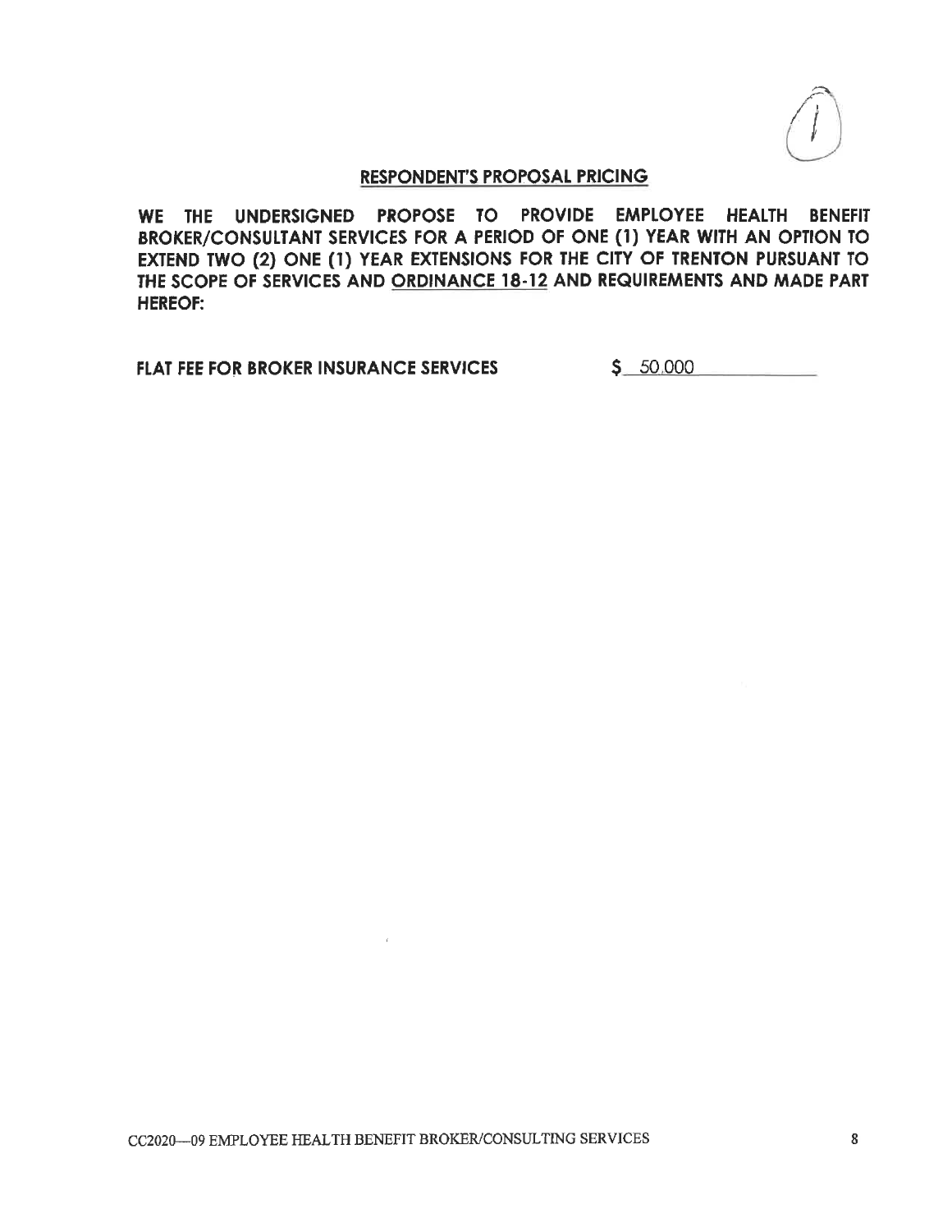WE THE UNDERSIGNED PROPOSE TO PROVIDE EMPLOYEE HEALTH BENEFIT BROKER/CONSULTANT SERVICES FOR A PERIOD OF ONE (1) YEAR WITH AN OPTION TO EXTEND TWO (2) ONE (1) YEAR EXTENSIONS FOR THE CITY OF TRENTON PURSUANT TO THE SCOPE OF SERVICES AND ORDINANCE 18-12 AND REQUIREMENTS AND MADE PART **HEREOF:** 

FLAT FEE FOR BROKER INSURANCE SERVICES

 $$ 50,000$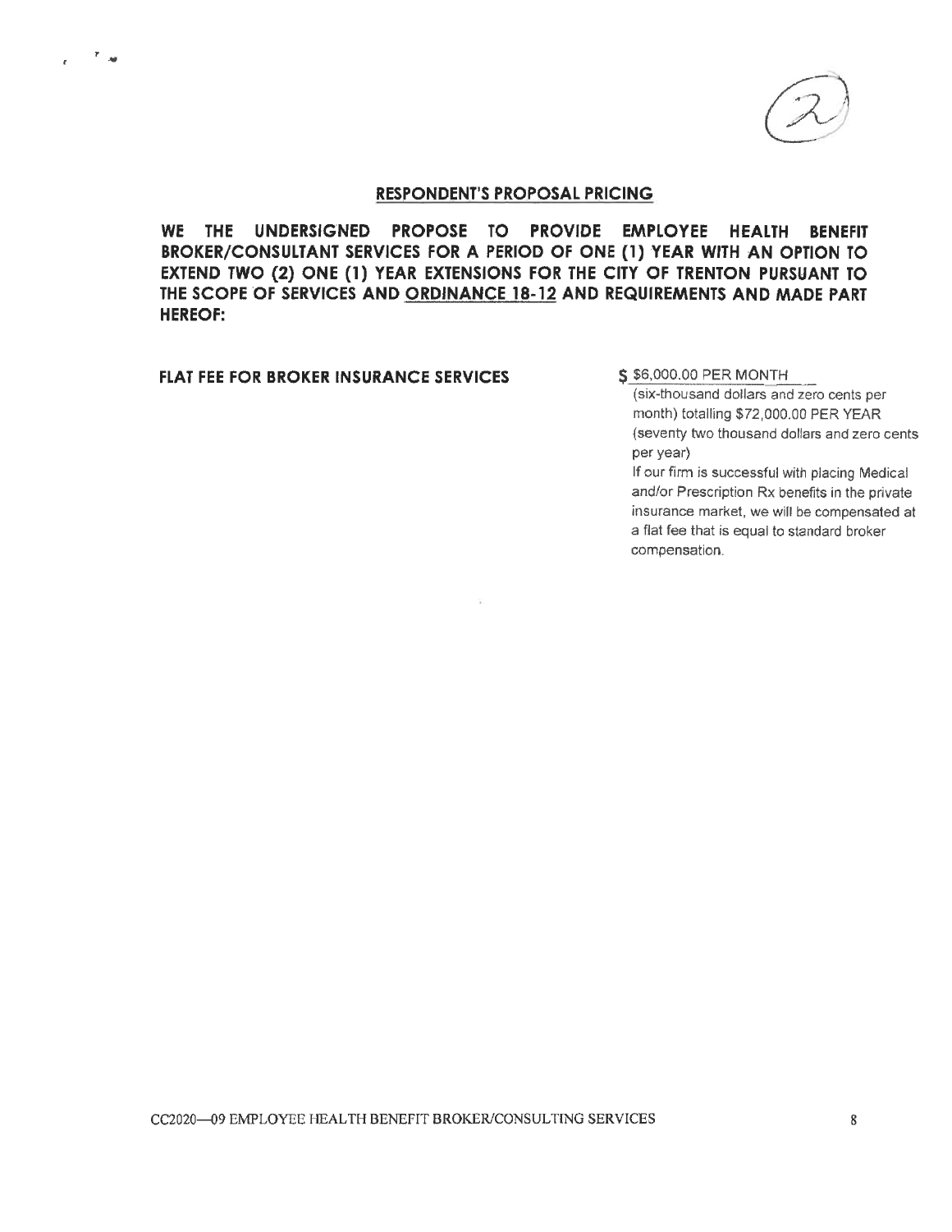

WE THE UNDERSIGNED PROPOSE TO PROVIDE EMPLOYEE HEALTH BENEFIT BROKER/CONSULTANT SERVICES FOR A PERIOD OF ONE (1) YEAR WITH AN OPTION TO EXTEND TWO (2) ONE (1) YEAR EXTENSIONS FOR THE CITY OF TRENTON PURSUANT TO THE SCOPE OF SERVICES AND ORDINANCE 18-12 AND REQUIREMENTS AND MADE PART **HEREOF:** 

### FLAT FEE FOR BROKER INSURANCE SERVICES

r.<br>H

#### \$ \$6,000.00 PER MONTH

(six-thousand dollars and zero cents per month) totalling \$72,000.00 PER YEAR (seventy two thousand dollars and zero cents per year)

If our firm is successful with placing Medical and/or Prescription Rx benefits in the private insurance market, we will be compensated at a flat fee that is equal to standard broker compensation.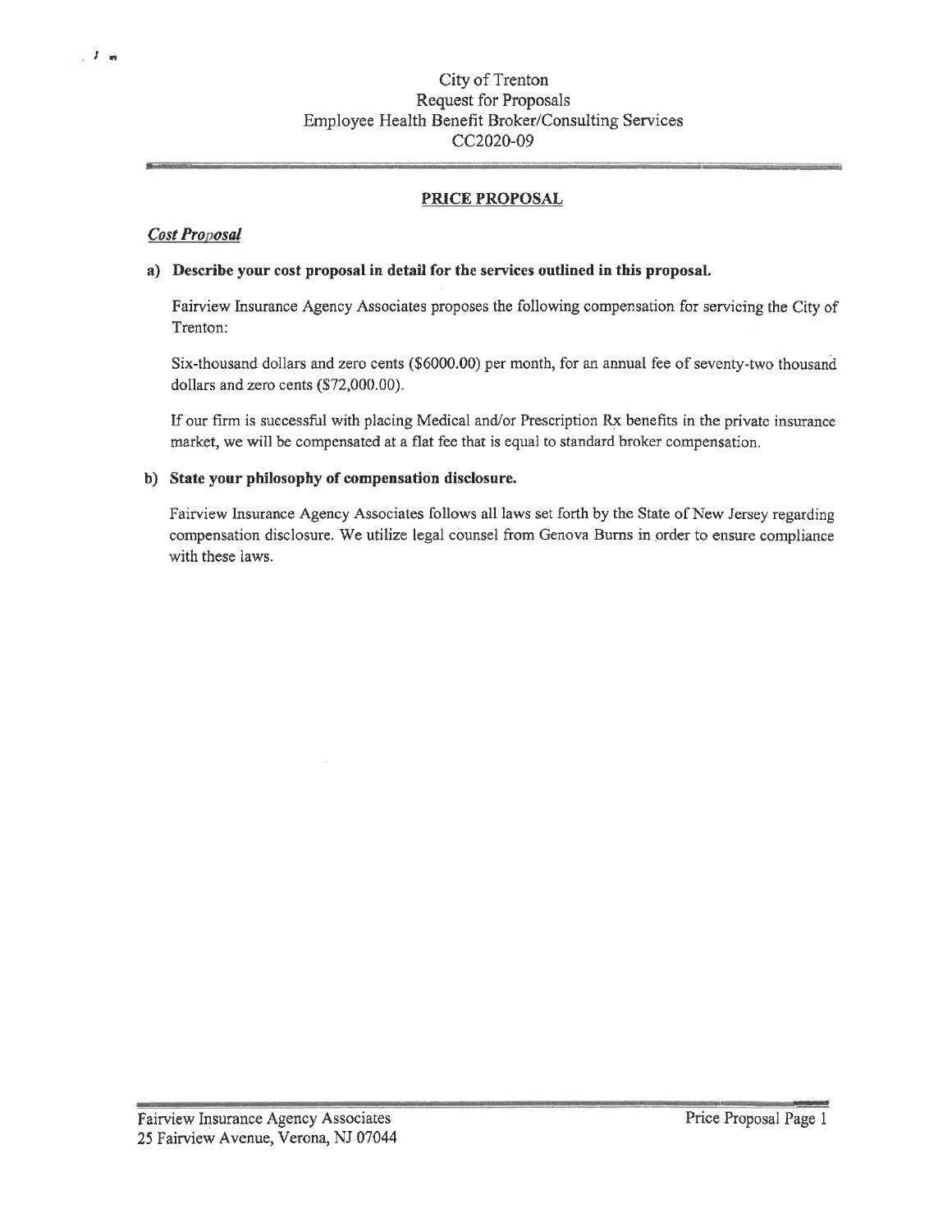## City of Trenton Request for Proposals Employee Health Benefit Broker/Consulting Services CC2020-09

## **PRICE PROPOSAL**

### **Cost Proposal**

#### a) Describe your cost proposal in detail for the services outlined in this proposal.

Fairview Insurance Agency Associates proposes the following compensation for servicing the City of Trenton:

Six-thousand dollars and zero cents (\$6000.00) per month, for an annual fee of seventy-two thousand dollars and zero cents (\$72,000.00).

If our firm is successful with placing Medical and/or Prescription Rx benefits in the private insurance market, we will be compensated at a flat fee that is equal to standard broker compensation.

#### b) State your philosophy of compensation disclosure.

Fairview Insurance Agency Associates follows all laws set forth by the State of New Jersey regarding compensation disclosure. We utilize legal counsel from Genova Burns in order to ensure compliance with these laws.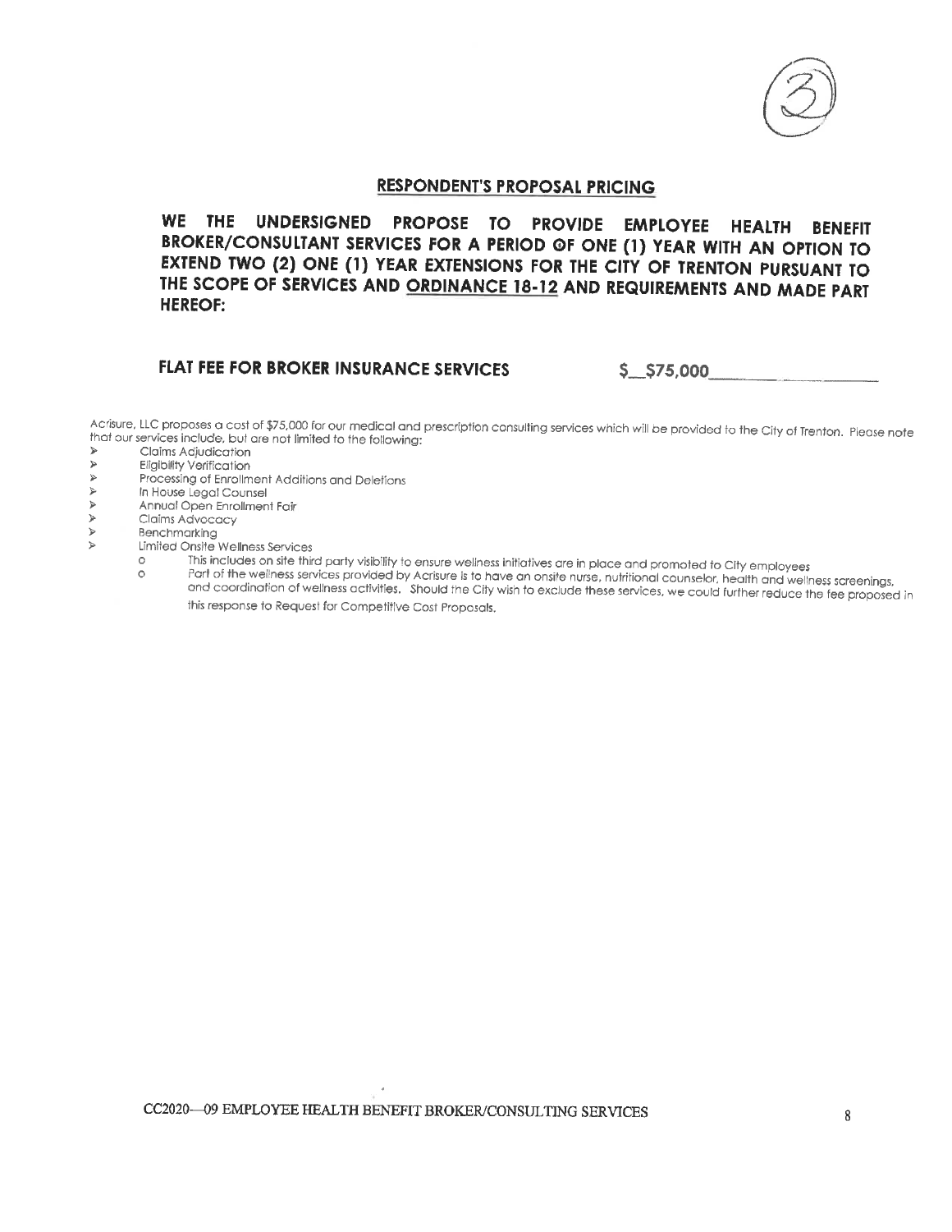

WE THE UNDERSIGNED PROPOSE TO PROVIDE EMPLOYEE HEALTH **BENEFIT** BROKER/CONSULTANT SERVICES FOR A PERIOD OF ONE (1) YEAR WITH AN OPTION TO EXTEND TWO (2) ONE (1) YEAR EXTENSIONS FOR THE CITY OF TRENTON PURSUANT TO THE SCOPE OF SERVICES AND ORDINANCE 18-12 AND REQUIREMENTS AND MADE PART **HEREOF:** 

# FLAT FEE FOR BROKER INSURANCE SERVICES

 $$5,575,000$ 

Acrisure, LLC proposes a cost of \$75,000 for our medical and prescription consulting services which will be provided to the City of Trenton. Please note that our services include, but are not limited to the following:  $\prec$ 

- Claims Adjudication
- **Eligibility Verification** Þ
- $\blacktriangleright$ Processing of Enrollment Additions and Deletions
- $\blacktriangleright$ In House Legal Counsel
- $\blacktriangleright$ Annual Open Enrollment Fair
- $\blacktriangleright$ Claims Advocacy
- $\triangleright$ Benchmarking  $\geq$ 
	- Limited Onsite Wellness Services
		- This includes on site third party visibility to ensure wellness initiatives are in place and promoted to City employees  $\circ$
		- Part of the wellness services provided by Acrisure is to have an onsite nurse, nutritional counselor, health and wellness screenings,  $\circ$ and coordination of wellness activities. Should the City wish to exclude these services, we could further reduce the fee proposed in
			- this response to Request for Competitive Cost Proposals,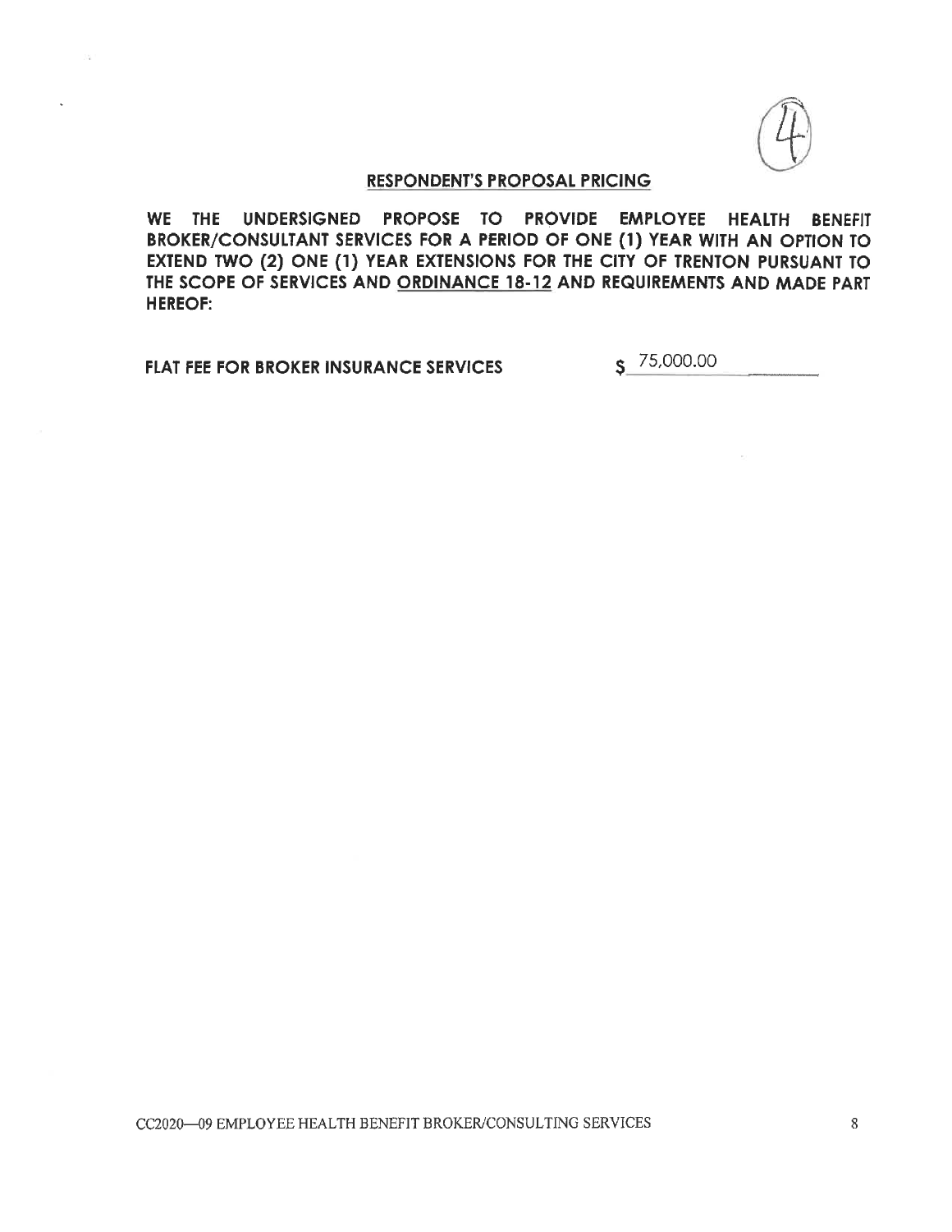WE THE UNDERSIGNED PROPOSE TO PROVIDE EMPLOYEE HEALTH BENEFIT BROKER/CONSULTANT SERVICES FOR A PERIOD OF ONE (1) YEAR WITH AN OPTION TO EXTEND TWO (2) ONE (1) YEAR EXTENSIONS FOR THE CITY OF TRENTON PURSUANT TO THE SCOPE OF SERVICES AND ORDINANCE 18-12 AND REQUIREMENTS AND MADE PART **HEREOF:** 

**FLAT FEE FOR BROKER INSURANCE SERVICES** 

 $S$  75,000.00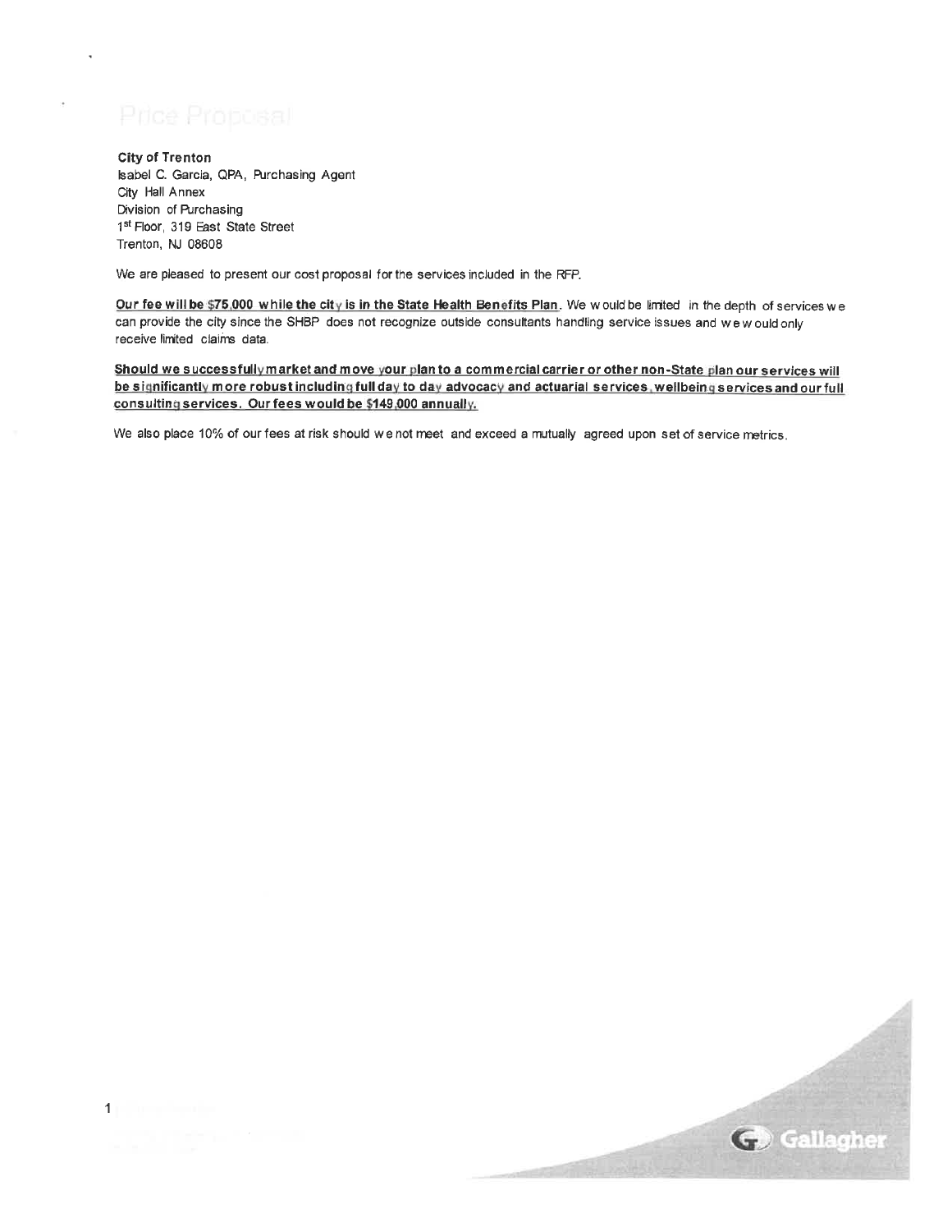# Price Proposal

**City of Trenton** Isabel C. Garcia, QPA, Purchasing Agent City Hall Annex Division of Purchasing 1st Floor, 319 East State Street Trenton, NJ 08608

We are pleased to present our cost proposal for the services included in the RFP.

Our fee will be \$75,000 while the city is in the State Health Benefits Plan. We would be limited in the depth of services we can provide the city since the SHBP does not recognize outside consultants handling service issues and we would only receive limited claims data.

Should we successfully market and move your plan to a commercial carrier or other non-State plan our services will be significantly more robust including full day to day advocacy and actuarial services, wellbeing services and our full consulting services. Our fees would be \$149,000 annually.

We also place 10% of our fees at risk should we not meet and exceed a mutually agreed upon set of service metrics.



**The most community**